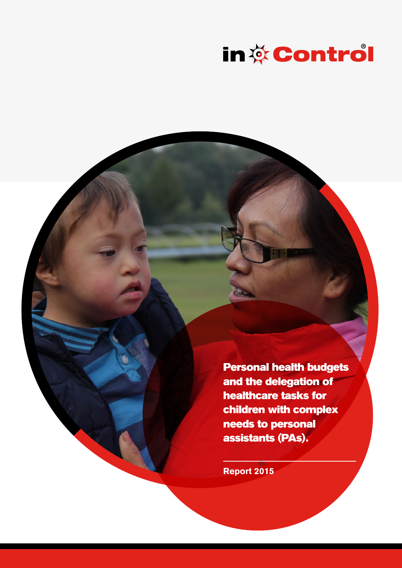

Personal health budgets and the delegation of healthcare tasks for children with complex needs to personal assistants (PAs).

**Report 2015**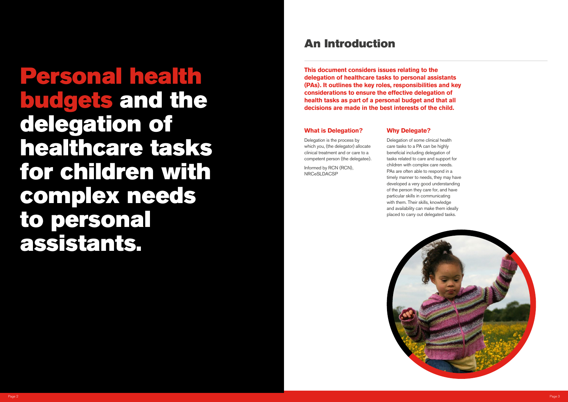### **What is Delegation?**

Delegation is the process by which you, (the delegator) allocate clinical treatment and or care to a competent person (the delegatee).

Informed by RCN (RCN), NRCeSLDACSP

### **Why Delegate?**

Delegation of some clinical health care tasks to a PA can be highly beneficial including delegation of tasks related to care and support for children with complex care needs. PAs are often able to respond in a timely manner to needs, they may have developed a very good understanding of the person they care for, and have particular skills in communicating with them. Their skills, knowledge and availability can make them ideally placed to carry out delegated tasks.



### An Introduction

Personal health budgets and the delegation of healthcare tasks for children with complex needs to personal assistants.

**This document considers issues relating to the delegation of healthcare tasks to personal assistants (PAs). It outlines the key roles, responsibilities and key considerations to ensure the effective delegation of health tasks as part of a personal budget and that all decisions are made in the best interests of the child.**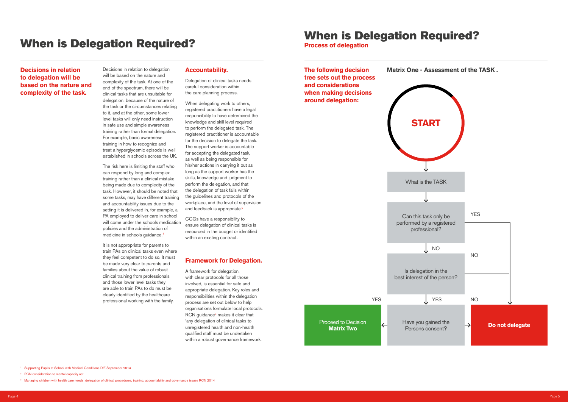**Process of delegation**

### **Decisions in relation to delegation will be based on the nature and complexity of the task.**

The risk here is limiting the staff who can respond by long and complex training rather than a clinical mistake being made due to complexity of the task. However, it should be noted that some tasks, may have different training and accountability issues due to the setting it is delivered in, for example, a PA employed to deliver care in school will come under the schools medication policies and the administration of medicine in schools guidance.<sup>1</sup>

Decisions in relation to delegation will be based on the nature and complexity of the task. At one of the end of the spectrum, there will be clinical tasks that are unsuitable for delegation, because of the nature of the task or the circumstances relating to it, and at the other, some lower level tasks will only need instruction in safe use and simple awareness training rather than formal delegation. For example, basic awareness training in how to recognize and treat a hyperglycemic episode is well established in schools across the UK.

It is not appropriate for parents to train PAs on clinical tasks even where they feel competent to do so. It must be made very clear to parents and families about the value of robust clinical training from professionals and those lower level tasks they are able to train PAs to do must be clearly identified by the healthcare professional working with the family.

#### **Accountability.**

Delegation of clinical tasks needs careful consideration within the care planning process.

When delegating work to others. registered practitioners have a legal responsibility to have determined the knowledge and skill level required to perform the delegated task. The registered practitioner is accountable for the decision to delegate the task. The support worker is accountable for accepting the delegated task, as well as being responsible for his/her actions in carrying it out as long as the support worker has the skills, knowledge and judgment to perform the delegation, and that the delegation of task falls within the guidelines and protocols of the workplace, and the level of supervision and feedback is appropriate.<sup>2</sup>

CCGs have a responsibility to ensure delegation of clinical tasks is resourced in the budget or identified within an existing contract.

#### **Framework for Delegation.**

A framework for delegation, with clear protocols for all those involved, is essential for safe and appropriate delegation. Key roles and responsibilities within the delegation process are set out below to help organisations formulate local protocols. RCN guidance<sup>3</sup> makes it clear that 'any delegation of clinical tasks to unregistered health and non-health qualified staff must be undertaken within a robust governance framework.

# When is Delegation Required?<br>
When is Delegation Required?<br>
Process of delegation



<sup>1</sup> Supporting Pupils at School with Medical Conditions DfE September 2014

<sup>&</sup>lt;sup>2</sup> RCN consideration to mental capacity act

<sup>&</sup>lt;sup>3</sup> Managing children with health care needs: delegation of clinical procedures, training, accountability and governance issues RCN 2014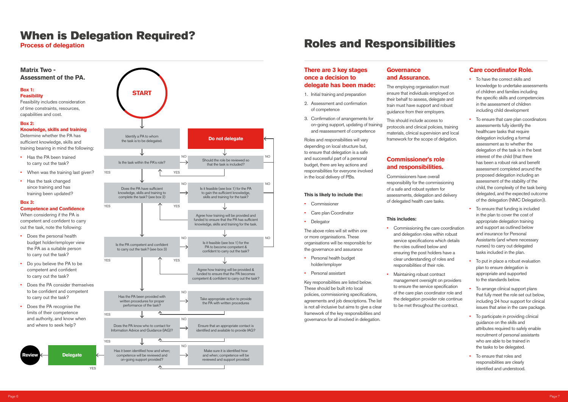#### **There are 3 key stages once a decision to delegate has been made:**

- 1. Initial training and preparation
- 2. Assessment and confirmation of competence
- 3. Confirmation of arrangements for on-going support, updating of training and reassessment of competence

- **Commissioner**
- Care plan Coordinator
- Delegator

Roles and responsibilities will vary depending on local structure but, to ensure that delegation is a safe and successful part of a personal budget, there are key actions and responsibilities for everyone involved in the local delivery of PBs.

#### **This is likely to include the:**

This should include access to protocols and clinical policies, training materials, clinical supervision and local framework for the scope of delgation.

The above roles will sit within one or more organisations. These organisations will be responsible for the governance and assurance

- Personal health budget holder/employer
- Personal assistant

Key responsibilities are listed below. These should be built into local policies, commissioning specifications, agreements and job descriptions. The list is not all-inclusive but aims to give a clear framework of the key responsibilities and governance for all involved in delegation.

- Commissioning the care coordination and delegation roles within robust service specifications which details the roles outlined below and ensuring the post holders have a clear understanding of roles and responsibilities of their role.
- Maintaining robust contract management oversight on providers to ensure the service specification of the care plan coordinator role and the delegation provider role continue to be met throughout the contract.

- 
- 
- 

#### **Governance and Assurance.**

The employing organisation must ensure that individuals employed on their behalf to assess, delegate and train must have support and robust guidance from their employers.

### **Commissioner's role and responsibilities.**

Commissioners have overall responsibility for the commissioning of a safe and robust system for assessments, delegation and delivery of delegated health care tasks.

#### **This includes:**

#### **Care coordinator Role.**

- To have the correct skills and knowledge to undertake assessments of children and families including the specific skills and competencies in the assessment of children including child development
- To ensure that care plan coordinators assessments fully identify the healthcare tasks that require delegation including a formal assessment as to whether the delegation of the task is in the best interest of the child (that there has been a robust risk and benefit assessment completed around the proposed delegation including an assessment of the stability of the child, the complexity of the task being delegated, and the expected outcome of the delegation (NMC Delegation)).
- To ensure that funding is included in the plan to cover the cost of appropriate delegation training and support as outlined below and insurance for Personal Assistants (and where necessary nurses) to carry out delegated tasks included in the plan.
- To put in place a robust evaluation plan to ensure delegation is appropriate and supported to the standards below.
- To arrange clinical support plans that fully meet the role set out below, including 24 hour support for clinical issues that arise in the care package.
- To participate in providing clinical guidance on the skills and attributes required to safely enable recruitment of personal assistants who are able to be trained in the tasks to be delegated.
- To ensure that roles and responsibilities are clearly identified and understood.

# When is Delegation Required?<br>Process of delegation

#### **Matrix Two - Assessment of the PA.**



## **Roles and Responsibilities**



#### **Box 1:**

#### **Feasibility**

Feasibility includes consideration of time constraints, resources, capabilities and cost.

#### **Box 2:**

#### **Knowledge, skills and training**

Determine whether the PA has sufficient knowledge, skills and training bearing in mind the following:

- Has the PA been trained to carry out the task?
- When was the training last given?
- Has the task changed since training and has training been updated?

#### **Box 3:**

#### **Competence and Confidence**

When considering if the PA is competent and confident to carry out the task, note the following:

- Does the personal health budget holder/employer view the PA as a suitable person to carry out the task?
- Do you believe the PA to be competent and confident to carry out the task?
- Does the PA consider themselves to be confident and competent to carry out the task?
- Does the PA recognise the limits of their competence and authority, and know when and where to seek help?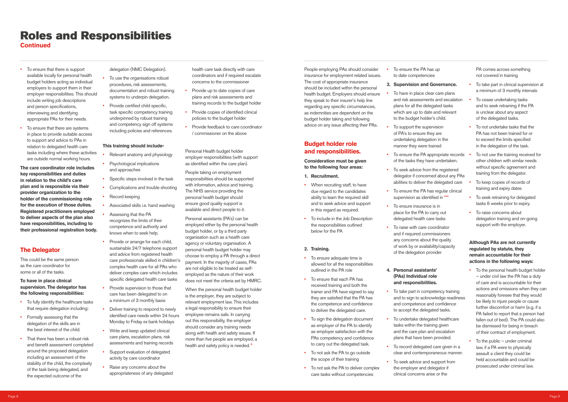## Roles and Responsibilities

**Continued**

- To ensure that there is support available locally for personal health budget holders acting as individual employers to support them in their employer responsibilities. This should include writing job descriptions and person specifications, interviewing and identifying appropriate PAs for their needs.
- To ensure that there are systems in place to provide suitable access to support and advice to PAs in relation to delegated health care tasks including where these activities are outside normal working hours.

**The care coordinator role includes key responsibilities and duties in relation to the child's care plan and is responsible via their provider organization to the holder of the commissioning role for the execution of those duties. Registered practitioners employed to deliver aspects of the plan also have responsibilities, including to their professional registration body.**

#### **The Delegator**

This could be the same person as the care coordinator for some or all of the tasks.

#### **To have in place clinical supervision. The delegator has the following responsibilities:**

- To fully identify the healthcare tasks that require delegation including:
- Formally assessing that the delegation of the skills are in the best interest of the child.
- That there has been a robust risk and benefit assessment completed around the proposed delegation including an assessment of the stability of the child, the complexity of the task being delegated, and the expected outcome of the

delegation (NMC Delegation).

- Provide up to date copies of care plans and risk assessments and training records to the budget holder
- Provide copies of identified clinical policies to the budget holder
- Provide feedback to care coordinator / commissioner on the above
- To use the organisations robust procedures, risk assessments, documentation and robust training systems to underpin delegation.
- Provide certified child specific, task specific competency training underpinned by robust training and competency sign off systems including policies and references.

#### **This training should include-**

When the personal health budget holder is the employer, they are subject to relevant employment law. This includes a legal responsibility to ensure their employee remains safe. In carrying out this responsibility, the employer should consider any training needs along with health and safety issues. If more than five people are employed, a health and safety policy is needed.<sup>8</sup>

- Relevant anatomy and physiology
- **Psychological implications** and approaches
- Specific steps involved in the task
- Complications and trouble shooting
- Record keeping
- Associated skills i.e. hand washing
- Assessing that the PA recognizes the limits of their competence and authority and knows when to seek help.
- Provide or arrange for each child, sustainable 24/7 telephone support and advice from registered health care professionals skilled in children's complex health care for all PAs who deliver complex care which includes specific delegated health care tasks
- Provide supervision to those that care has been delegated to on a minimum of 3 monthly basis
- Deliver training to respond to newly identified care needs within 24 hours Monday to Friday ex bank holidays
- Write and keep updated clinical care plans, escalation plans, risk assessments and training records
- Support evaluation of delegated activity by care coordinator
- Raise any concerns about the appropriateness of any delegated

health care task directly with care coordinators and if required escalate concerns to the commissioner

- To have in place clear care plans and risk assessments and escalation plans for all the delegated tasks which are up to date and relevant to the budget holder's child.
- To support the supervision of PA's to ensure they are undertaking delegation in the manner they were trained
- To ensure the PA appropriate records of the tasks they have undertaken. • To seek advice from the registered To not use the training received for other children with similar needs without specific agreement and training from the delegator.
- delegator if concerned about any PAs abilities to deliver the delegated care
- To ensure the PA has regular clinical supervision as identified in \*\*\*
- To ensure insurance is in place for the PA to carry out delegated health care tasks
- To raise with care coordinator and if required commissioners any concerns about the quality of work by or availability/capacity of the delegation provider

Personal Health budget holder employer responsibilities (with support as identified within the care plan).

People taking on employment responsibilities should be supported with information, advice and training. The NHS service providing the personal health budget should ensure good quality support is available and direct people to it.

- To take part in competency training and to sign to acknowledge readiness and competence and confidence to accept the delegated tasks.
- To undertake delegated healthcare tasks within the training given and the care plan and escalation plans that have been provided.
- To record delegated care given in a clear and contemporaneous manner.
- To seek advice and support from the employer and delegator if clinical concerns arise or the

- 
- 
- 
- 
- 
- 

Personal assistants (PA's) can be employed either by the personal health budget holder, or by a third party organisation such as a health care agency or voluntary organisation. A personal health budget holder may choose to employ a PA through a direct payment. In the majority of cases, PAs are not eligible to be treated as selfemployed as the nature of their work does not meet the criteria set by HMRC.

- To the personal health budget holder – under civil law the PA has a duty of care and is accountable for their actions and omissions when they can reasonably foresee that they would be likely to injure people or cause further discomfort or harm (e.g. if a PA failed to report that a person had fallen out of bed). The PA could also be dismissed for being in breach of their contract of employment.
- To the public  $-$  under criminal law, if a PA were to physically assault a client they could be held accountable and could be prosecuted under criminal law.

People employing PAs should consider insurance for employment related issues. The cost of appropriate insurance should be included within the personal health budget. Employers should ensure they speak to their insurer's help line regarding any specific circumstances, as indemnities are dependent on the budget holder taking and following advice on any issue affecting their PAs.

### **Budget holder role and responsibilities.**

**Consideration must be given to the following four areas:**

- **1. Recruitment.**
- When recruiting staff, to have due regard to the candidates ability to learn the required skill and to seek advice and support in this regard as required.
- To include in the Job Description the responsibilities outlined below for the PA

#### **2. Training.**

- To ensure adequate time is allowed for all the responsibilities outlined in the PA role
- To ensure that each PA has received training and both the trainer and PA have signed to say they are satisfied that the PA has the competence and confidence to deliver the delegated care.
- To sign the delegation document as employer of the PA to identify as employer satisfaction with the PAs competency and confidence to carry out the delegated task.
- To not ask the PA to go outside the scope of their training
- To not ask the PA to deliver complex care tasks without competencies

• To ensure the PA has up to date competencies

#### **3. Supervision and Governance.**

#### **4. Personal assistants' (PAs) Individual role and responsibilities.**

PA comes across something not covered in training

- To take part in clinical supervision at a minimum of 3 monthly intervals
- To cease undertaking tasks and to seek retraining if the PA is unclear about any aspect of the delegated tasks.
- To not undertake tasks that the PA has not been trained for or to exceed the limits specified in the delegation of the task.
- To keep copies of records of training and expiry dates
- To seek retraining for delegated tasks 6 weeks prior to expiry.
- To raise concerns about delegation training and on-going support with the employer.

#### **Although PAs are not currently regulated by statute, they remain accountable for their actions in the following ways:**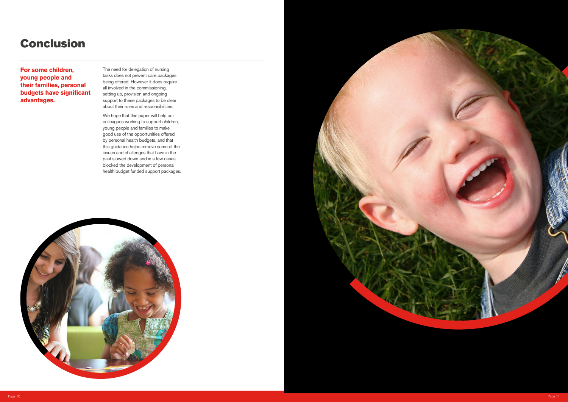**For some children, young people and their families, personal budgets have significant advantages.**

The need for delegation of nursing tasks does not prevent care packages being offered. However it does require all involved in the commissioning, setting up, provision and ongoing support to these packages to be clear about their roles and responsibilities.

We hope that this paper will help our colleagues working to support children, young people and families to make good use of the opportunities offered by personal health budgets, and that this guidance helps remove some of the issues and challenges that have in the past slowed down and in a few cases blocked the development of personal health budget funded support packages.





## Conclusion